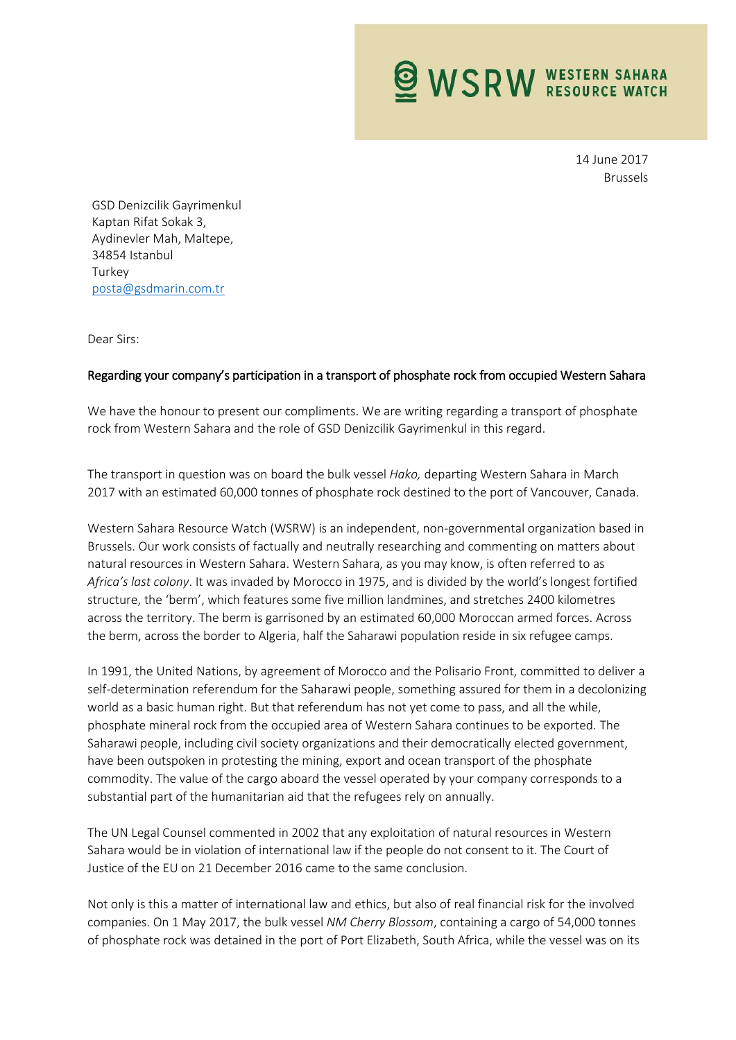**WSRW WESTERN SAHARA** 

14 June 2017 Brussels

GSD Denizcilik Gayrimenkul Kaptan Rifat Sokak 3, Aydinevler Mah, Maltepe, 34854 Istanbul **Turkey** [posta@gsdmarin.com.tr](mailto:posta@gsdmarin.com.tr)

Dear Sirs:

## Regarding your company's participation in a transport of phosphate rock from occupied Western Sahara

We have the honour to present our compliments. We are writing regarding a transport of phosphate rock from Western Sahara and the role of GSD Denizcilik Gayrimenkul in this regard.

The transport in question was on board the bulk vessel *Hako,* departing Western Sahara in March 2017 with an estimated 60,000 tonnes of phosphate rock destined to the port of Vancouver, Canada.

Western Sahara Resource Watch (WSRW) is an independent, non-governmental organization based in Brussels. Our work consists of factually and neutrally researching and commenting on matters about natural resources in Western Sahara. Western Sahara, as you may know, is often referred to as *Africa's last colony*. It was invaded by Morocco in 1975, and is divided by the world's longest fortified structure, the 'berm', which features some five million landmines, and stretches 2400 kilometres across the territory. The berm is garrisoned by an estimated 60,000 Moroccan armed forces. Across the berm, across the border to Algeria, half the Saharawi population reside in six refugee camps.

In 1991, the United Nations, by agreement of Morocco and the Polisario Front, committed to deliver a self-determination referendum for the Saharawi people, something assured for them in a decolonizing world as a basic human right. But that referendum has not yet come to pass, and all the while, phosphate mineral rock from the occupied area of Western Sahara continues to be exported. The Saharawi people, including civil society organizations and their democratically elected government, have been outspoken in protesting the mining, export and ocean transport of the phosphate commodity. The value of the cargo aboard the vessel operated by your company corresponds to a substantial part of the humanitarian aid that the refugees rely on annually.

The UN Legal Counsel commented in 2002 that any exploitation of natural resources in Western Sahara would be in violation of international law if the people do not consent to it. The Court of Justice of the EU on 21 December 2016 came to the same conclusion.

Not only is this a matter of international law and ethics, but also of real financial risk for the involved companies. On 1 May 2017, the bulk vessel *NM Cherry Blossom*, containing a cargo of 54,000 tonnes of phosphate rock was detained in the port of Port Elizabeth, South Africa, while the vessel was on its